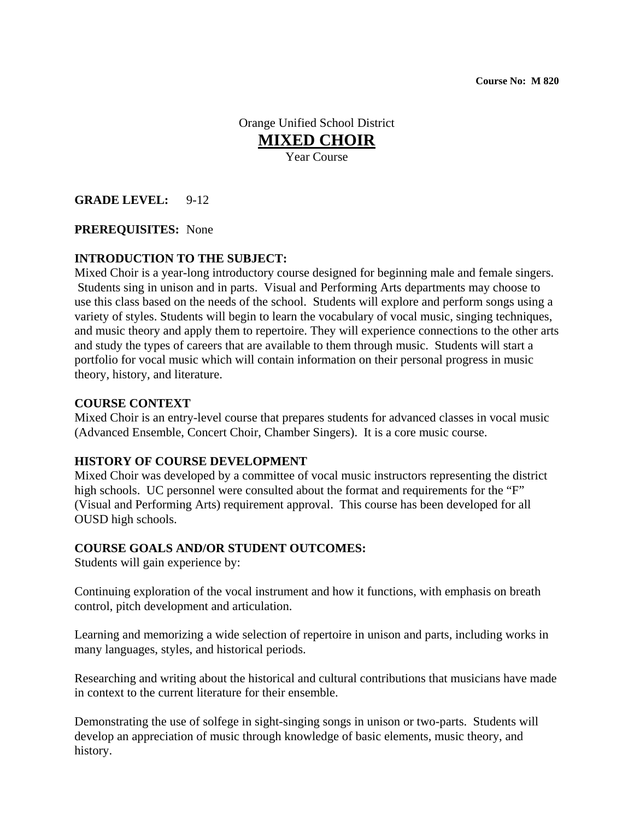**Course No: M 820**

Orange Unified School District **MIXED CHOIR** Year Course

### **GRADE LEVEL:** 9-12

#### **PREREQUISITES:** None

#### **INTRODUCTION TO THE SUBJECT:**

Mixed Choir is a year-long introductory course designed for beginning male and female singers. Students sing in unison and in parts. Visual and Performing Arts departments may choose to use this class based on the needs of the school. Students will explore and perform songs using a variety of styles. Students will begin to learn the vocabulary of vocal music, singing techniques, and music theory and apply them to repertoire. They will experience connections to the other arts and study the types of careers that are available to them through music. Students will start a portfolio for vocal music which will contain information on their personal progress in music theory, history, and literature.

#### **COURSE CONTEXT**

Mixed Choir is an entry-level course that prepares students for advanced classes in vocal music (Advanced Ensemble, Concert Choir, Chamber Singers). It is a core music course.

#### **HISTORY OF COURSE DEVELOPMENT**

Mixed Choir was developed by a committee of vocal music instructors representing the district high schools. UC personnel were consulted about the format and requirements for the "F" (Visual and Performing Arts) requirement approval. This course has been developed for all OUSD high schools.

#### **COURSE GOALS AND/OR STUDENT OUTCOMES:**

Students will gain experience by:

Continuing exploration of the vocal instrument and how it functions, with emphasis on breath control, pitch development and articulation.

Learning and memorizing a wide selection of repertoire in unison and parts, including works in many languages, styles, and historical periods.

Researching and writing about the historical and cultural contributions that musicians have made in context to the current literature for their ensemble.

Demonstrating the use of solfege in sight-singing songs in unison or two-parts. Students will develop an appreciation of music through knowledge of basic elements, music theory, and history.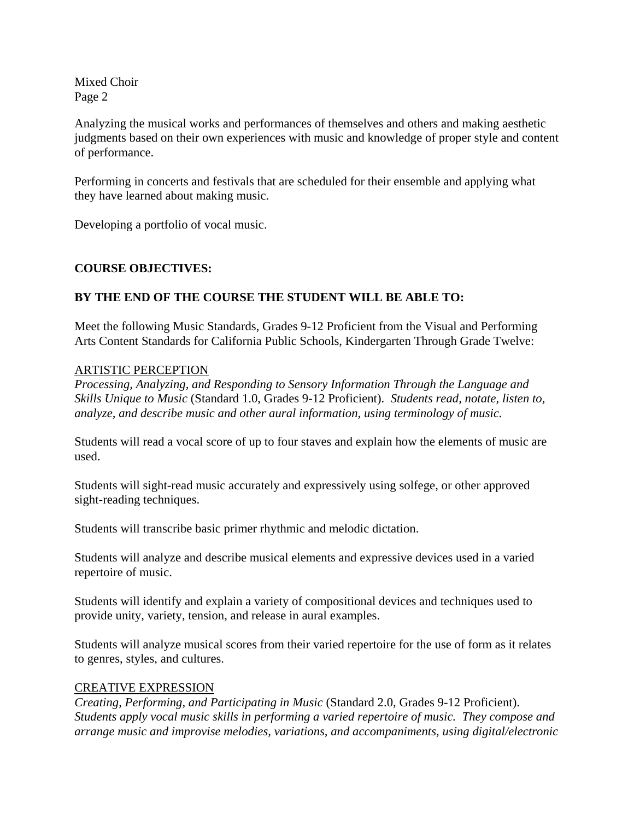Analyzing the musical works and performances of themselves and others and making aesthetic judgments based on their own experiences with music and knowledge of proper style and content of performance.

Performing in concerts and festivals that are scheduled for their ensemble and applying what they have learned about making music.

Developing a portfolio of vocal music.

# **COURSE OBJECTIVES:**

# **BY THE END OF THE COURSE THE STUDENT WILL BE ABLE TO:**

Meet the following Music Standards, Grades 9-12 Proficient from the Visual and Performing Arts Content Standards for California Public Schools, Kindergarten Through Grade Twelve:

## ARTISTIC PERCEPTION

*Processing, Analyzing, and Responding to Sensory Information Through the Language and Skills Unique to Music* (Standard 1.0, Grades 9-12 Proficient). *Students read, notate, listen to, analyze, and describe music and other aural information, using terminology of music.* 

Students will read a vocal score of up to four staves and explain how the elements of music are used.

Students will sight-read music accurately and expressively using solfege, or other approved sight-reading techniques.

Students will transcribe basic primer rhythmic and melodic dictation.

Students will analyze and describe musical elements and expressive devices used in a varied repertoire of music.

Students will identify and explain a variety of compositional devices and techniques used to provide unity, variety, tension, and release in aural examples.

Students will analyze musical scores from their varied repertoire for the use of form as it relates to genres, styles, and cultures.

## CREATIVE EXPRESSION

*Creating, Performing, and Participating in Music* (Standard 2.0, Grades 9-12 Proficient). *Students apply vocal music skills in performing a varied repertoire of music. They compose and arrange music and improvise melodies, variations, and accompaniments, using digital/electronic*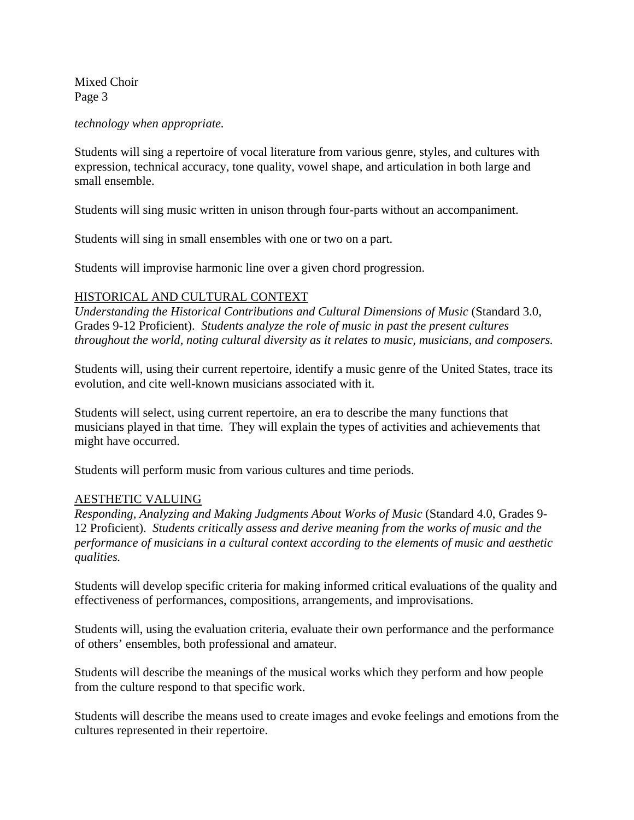*technology when appropriate.* 

Students will sing a repertoire of vocal literature from various genre, styles, and cultures with expression, technical accuracy, tone quality, vowel shape, and articulation in both large and small ensemble.

Students will sing music written in unison through four-parts without an accompaniment.

Students will sing in small ensembles with one or two on a part.

Students will improvise harmonic line over a given chord progression.

### HISTORICAL AND CULTURAL CONTEXT

*Understanding the Historical Contributions and Cultural Dimensions of Music* (Standard 3.0, Grades 9-12 Proficient). *Students analyze the role of music in past the present cultures throughout the world, noting cultural diversity as it relates to music, musicians, and composers.* 

Students will, using their current repertoire, identify a music genre of the United States, trace its evolution, and cite well-known musicians associated with it.

Students will select, using current repertoire, an era to describe the many functions that musicians played in that time. They will explain the types of activities and achievements that might have occurred.

Students will perform music from various cultures and time periods.

#### AESTHETIC VALUING

*Responding, Analyzing and Making Judgments About Works of Music* (Standard 4.0, Grades 9- 12 Proficient). *Students critically assess and derive meaning from the works of music and the performance of musicians in a cultural context according to the elements of music and aesthetic qualities.* 

Students will develop specific criteria for making informed critical evaluations of the quality and effectiveness of performances, compositions, arrangements, and improvisations.

Students will, using the evaluation criteria, evaluate their own performance and the performance of others' ensembles, both professional and amateur.

Students will describe the meanings of the musical works which they perform and how people from the culture respond to that specific work.

Students will describe the means used to create images and evoke feelings and emotions from the cultures represented in their repertoire.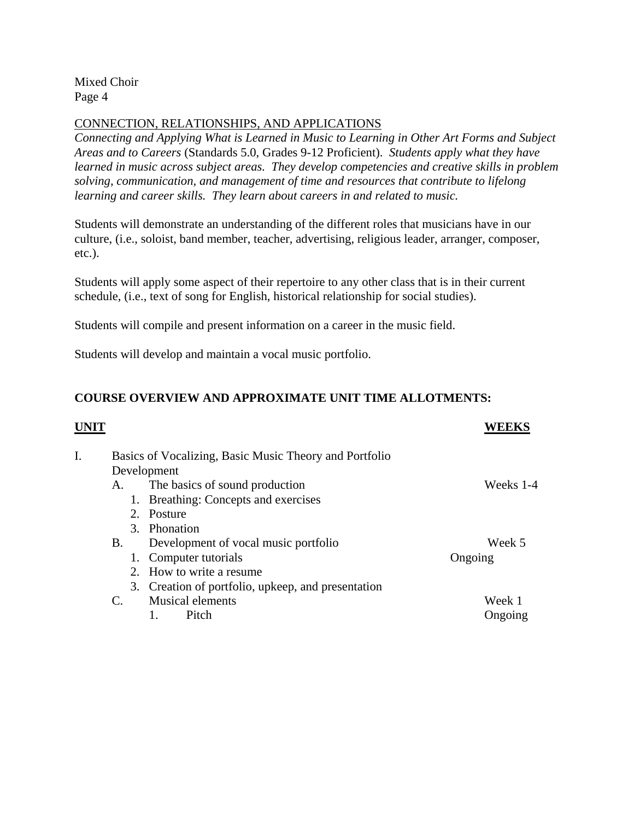## CONNECTION, RELATIONSHIPS, AND APPLICATIONS

*Connecting and Applying What is Learned in Music to Learning in Other Art Forms and Subject Areas and to Careers* (Standards 5.0, Grades 9-12 Proficient). *Students apply what they have learned in music across subject areas. They develop competencies and creative skills in problem solving, communication, and management of time and resources that contribute to lifelong learning and career skills. They learn about careers in and related to music.* 

Students will demonstrate an understanding of the different roles that musicians have in our culture, (i.e., soloist, band member, teacher, advertising, religious leader, arranger, composer, etc.).

Students will apply some aspect of their repertoire to any other class that is in their current schedule, (i.e., text of song for English, historical relationship for social studies).

Students will compile and present information on a career in the music field.

Students will develop and maintain a vocal music portfolio.

# **COURSE OVERVIEW AND APPROXIMATE UNIT TIME ALLOTMENTS:**

# **UNIT WEEKS** I. Basics of Vocalizing, Basic Music Theory and Portfolio Development A. The basics of sound production Weeks 1-4 1. Breathing: Concepts and exercises 2. Posture 3. Phonation B. Development of vocal music portfolio Week 5 1. Computer tutorials Ongoing 2. How to write a resume 3. Creation of portfolio, upkeep, and presentation C. Musical elements Week 1 1. Pitch Ongoing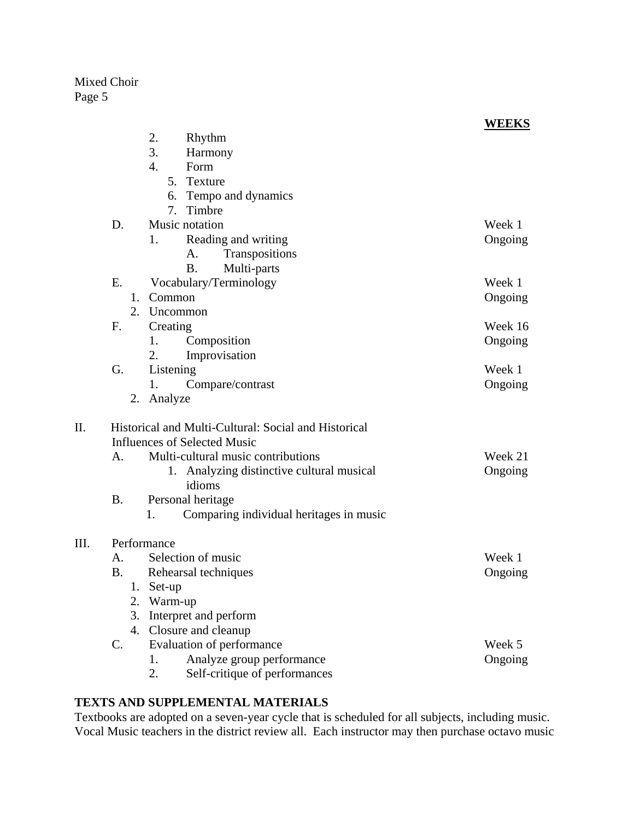|      |                                                              | WEEKS   |
|------|--------------------------------------------------------------|---------|
|      | 2.<br>Rhythm                                                 |         |
|      | 3.<br>Harmony                                                |         |
|      | 4.<br>Form                                                   |         |
|      | 5.<br>Texture                                                |         |
|      | Tempo and dynamics<br>6.                                     |         |
|      | 7.<br>Timbre                                                 |         |
|      | D.<br>Music notation                                         | Week 1  |
|      | Reading and writing<br>1.                                    | Ongoing |
|      | Transpositions<br>A.                                         |         |
|      | <b>B.</b><br>Multi-parts                                     |         |
|      | Ε.<br>Vocabulary/Terminology                                 | Week 1  |
|      | 1. Common                                                    | Ongoing |
|      | 2.<br>Uncommon                                               |         |
|      | F.<br>Creating                                               | Week 16 |
|      | 1.<br>Composition                                            | Ongoing |
|      | 2.<br>Improvisation                                          |         |
|      | G.<br>Listening                                              | Week 1  |
|      | 1.<br>Compare/contrast                                       | Ongoing |
|      | 2. Analyze                                                   |         |
| II.  | Historical and Multi-Cultural: Social and Historical         |         |
|      | <b>Influences of Selected Music</b>                          |         |
|      | Multi-cultural music contributions<br>A.                     | Week 21 |
|      | 1. Analyzing distinctive cultural musical                    | Ongoing |
|      | idioms                                                       |         |
|      | Personal heritage<br><b>B.</b>                               |         |
|      | Comparing individual heritages in music<br>1.                |         |
| III. | Performance                                                  |         |
|      | Selection of music<br>A.                                     | Week 1  |
|      | <b>B.</b><br>Rehearsal techniques                            | Ongoing |
|      | Set-up<br>Ī.                                                 |         |
|      | 2.<br>Warm-up                                                |         |
|      |                                                              |         |
|      |                                                              |         |
|      | Interpret and perform<br>3.                                  |         |
|      | 4. Closure and cleanup<br>$\mathbf{C}$ .                     | Week 5  |
|      | Evaluation of performance<br>Analyze group performance<br>1. | Ongoing |

# **TEXTS AND SUPPLEMENTAL MATERIALS**

Textbooks are adopted on a seven-year cycle that is scheduled for all subjects, including music. Vocal Music teachers in the district review all. Each instructor may then purchase octavo music